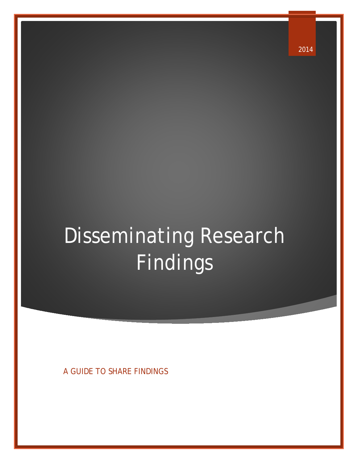## Disseminating Research Findings

A GUIDE TO SHARE FINDINGS

2014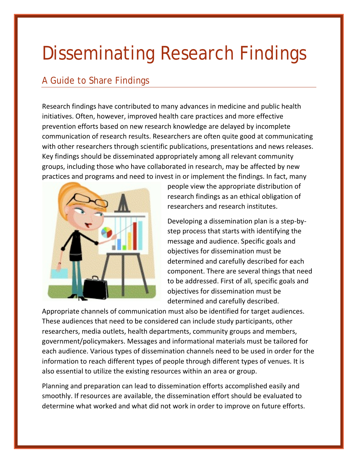## Disseminating Research Findings

## A Guide to Share Findings

Research findings have contributed to many advances in medicine and public health initiatives. Often, however, improved health care practices and more effective prevention efforts based on new research knowledge are delayed by incomplete communication of research results. Researchers are often quite good at communicating with other researchers through scientific publications, presentations and news releases. Key findings should be disseminated appropriately among all relevant community groups, including those who have collaborated in research, may be affected by new practices and programs and need to invest in or implement the findings. In fact, many



people view the appropriate distribution of research findings as an ethical obligation of researchers and research institutes.

Developing a dissemination plan is a step-bystep process that starts with identifying the message and audience. Specific goals and objectives for dissemination must be determined and carefully described for each component. There are several things that need to be addressed. First of all, specific goals and objectives for dissemination must be determined and carefully described.

Appropriate channels of communication must also be identified for target audiences. These audiences that need to be considered can include study participants, other researchers, media outlets, health departments, community groups and members, government/policymakers. Messages and informational materials must be tailored for each audience. Various types of dissemination channels need to be used in order for the information to reach different types of people through different types of venues. It is also essential to utilize the existing resources within an area or group.

Planning and preparation can lead to dissemination efforts accomplished easily and smoothly. If resources are available, the dissemination effort should be evaluated to determine what worked and what did not work in order to improve on future efforts.